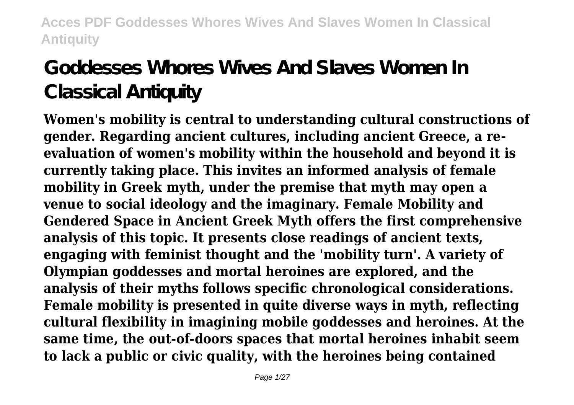# **Goddesses Whores Wives And Slaves Women In Classical Antiquity**

**Women's mobility is central to understanding cultural constructions of gender. Regarding ancient cultures, including ancient Greece, a reevaluation of women's mobility within the household and beyond it is currently taking place. This invites an informed analysis of female mobility in Greek myth, under the premise that myth may open a venue to social ideology and the imaginary. Female Mobility and Gendered Space in Ancient Greek Myth offers the first comprehensive analysis of this topic. It presents close readings of ancient texts, engaging with feminist thought and the 'mobility turn'. A variety of Olympian goddesses and mortal heroines are explored, and the analysis of their myths follows specific chronological considerations. Female mobility is presented in quite diverse ways in myth, reflecting cultural flexibility in imagining mobile goddesses and heroines. At the same time, the out-of-doors spaces that mortal heroines inhabit seem to lack a public or civic quality, with the heroines being contained**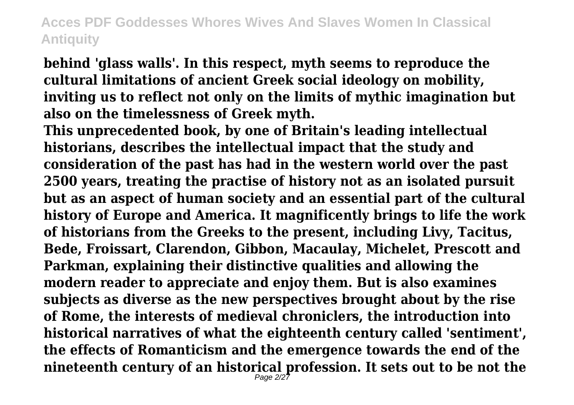**behind 'glass walls'. In this respect, myth seems to reproduce the cultural limitations of ancient Greek social ideology on mobility, inviting us to reflect not only on the limits of mythic imagination but also on the timelessness of Greek myth.**

**This unprecedented book, by one of Britain's leading intellectual historians, describes the intellectual impact that the study and consideration of the past has had in the western world over the past 2500 years, treating the practise of history not as an isolated pursuit but as an aspect of human society and an essential part of the cultural history of Europe and America. It magnificently brings to life the work of historians from the Greeks to the present, including Livy, Tacitus, Bede, Froissart, Clarendon, Gibbon, Macaulay, Michelet, Prescott and Parkman, explaining their distinctive qualities and allowing the modern reader to appreciate and enjoy them. But is also examines subjects as diverse as the new perspectives brought about by the rise of Rome, the interests of medieval chroniclers, the introduction into historical narratives of what the eighteenth century called 'sentiment', the effects of Romanticism and the emergence towards the end of the nineteenth century of an historical profession. It sets out to be not the** Page 2/27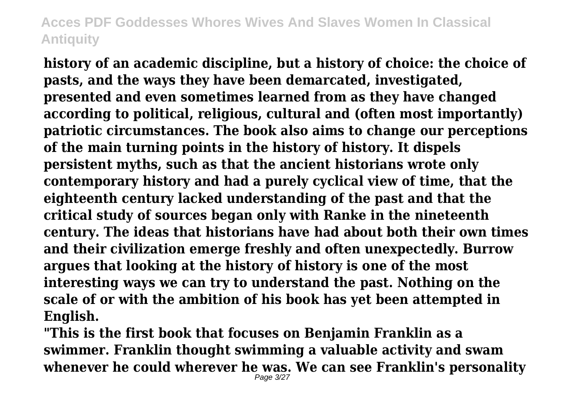**history of an academic discipline, but a history of choice: the choice of pasts, and the ways they have been demarcated, investigated, presented and even sometimes learned from as they have changed according to political, religious, cultural and (often most importantly) patriotic circumstances. The book also aims to change our perceptions of the main turning points in the history of history. It dispels persistent myths, such as that the ancient historians wrote only contemporary history and had a purely cyclical view of time, that the eighteenth century lacked understanding of the past and that the critical study of sources began only with Ranke in the nineteenth century. The ideas that historians have had about both their own times and their civilization emerge freshly and often unexpectedly. Burrow argues that looking at the history of history is one of the most interesting ways we can try to understand the past. Nothing on the scale of or with the ambition of his book has yet been attempted in English.**

**"This is the first book that focuses on Benjamin Franklin as a swimmer. Franklin thought swimming a valuable activity and swam whenever he could wherever he was. We can see Franklin's personality** Page 3/27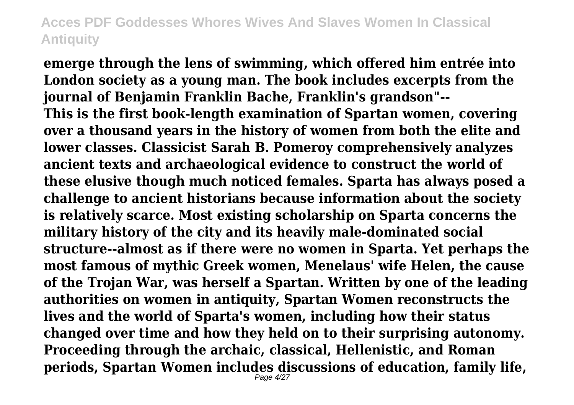**emerge through the lens of swimming, which offered him entrée into London society as a young man. The book includes excerpts from the journal of Benjamin Franklin Bache, Franklin's grandson"-- This is the first book-length examination of Spartan women, covering over a thousand years in the history of women from both the elite and lower classes. Classicist Sarah B. Pomeroy comprehensively analyzes ancient texts and archaeological evidence to construct the world of these elusive though much noticed females. Sparta has always posed a challenge to ancient historians because information about the society is relatively scarce. Most existing scholarship on Sparta concerns the military history of the city and its heavily male-dominated social structure--almost as if there were no women in Sparta. Yet perhaps the most famous of mythic Greek women, Menelaus' wife Helen, the cause of the Trojan War, was herself a Spartan. Written by one of the leading authorities on women in antiquity, Spartan Women reconstructs the lives and the world of Sparta's women, including how their status changed over time and how they held on to their surprising autonomy. Proceeding through the archaic, classical, Hellenistic, and Roman periods, Spartan Women includes discussions of education, family life,** Page 4/27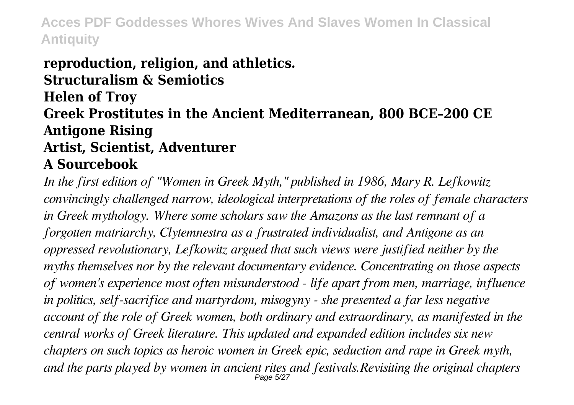#### **reproduction, religion, and athletics. Structuralism & Semiotics Helen of Troy Greek Prostitutes in the Ancient Mediterranean, 800 BCE–200 CE Antigone Rising Artist, Scientist, Adventurer A Sourcebook**

*In the first edition of "Women in Greek Myth," published in 1986, Mary R. Lefkowitz convincingly challenged narrow, ideological interpretations of the roles of female characters in Greek mythology. Where some scholars saw the Amazons as the last remnant of a forgotten matriarchy, Clytemnestra as a frustrated individualist, and Antigone as an oppressed revolutionary, Lefkowitz argued that such views were justified neither by the myths themselves nor by the relevant documentary evidence. Concentrating on those aspects of women's experience most often misunderstood - life apart from men, marriage, influence in politics, self-sacrifice and martyrdom, misogyny - she presented a far less negative account of the role of Greek women, both ordinary and extraordinary, as manifested in the central works of Greek literature. This updated and expanded edition includes six new chapters on such topics as heroic women in Greek epic, seduction and rape in Greek myth, and the parts played by women in ancient rites and festivals.Revisiting the original chapters* Page 5/27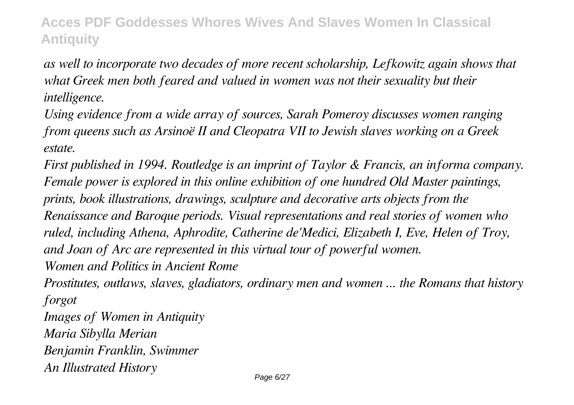*as well to incorporate two decades of more recent scholarship, Lefkowitz again shows that what Greek men both feared and valued in women was not their sexuality but their intelligence.*

*Using evidence from a wide array of sources, Sarah Pomeroy discusses women ranging from queens such as Arsinoë II and Cleopatra VII to Jewish slaves working on a Greek estate.*

*First published in 1994. Routledge is an imprint of Taylor & Francis, an informa company. Female power is explored in this online exhibition of one hundred Old Master paintings, prints, book illustrations, drawings, sculpture and decorative arts objects from the Renaissance and Baroque periods. Visual representations and real stories of women who ruled, including Athena, Aphrodite, Catherine de'Medici, Elizabeth I, Eve, Helen of Troy, and Joan of Arc are represented in this virtual tour of powerful women. Women and Politics in Ancient Rome*

*Prostitutes, outlaws, slaves, gladiators, ordinary men and women ... the Romans that history forgot*

*Images of Women in Antiquity Maria Sibylla Merian Benjamin Franklin, Swimmer An Illustrated History*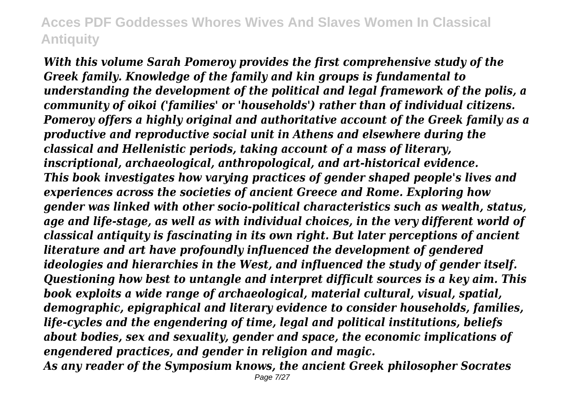*With this volume Sarah Pomeroy provides the first comprehensive study of the Greek family. Knowledge of the family and kin groups is fundamental to understanding the development of the political and legal framework of the polis, a community of oikoi ('families' or 'households') rather than of individual citizens. Pomeroy offers a highly original and authoritative account of the Greek family as a productive and reproductive social unit in Athens and elsewhere during the classical and Hellenistic periods, taking account of a mass of literary, inscriptional, archaeological, anthropological, and art-historical evidence. This book investigates how varying practices of gender shaped people's lives and experiences across the societies of ancient Greece and Rome. Exploring how gender was linked with other socio-political characteristics such as wealth, status, age and life-stage, as well as with individual choices, in the very different world of classical antiquity is fascinating in its own right. But later perceptions of ancient literature and art have profoundly influenced the development of gendered ideologies and hierarchies in the West, and influenced the study of gender itself. Questioning how best to untangle and interpret difficult sources is a key aim. This book exploits a wide range of archaeological, material cultural, visual, spatial, demographic, epigraphical and literary evidence to consider households, families, life-cycles and the engendering of time, legal and political institutions, beliefs about bodies, sex and sexuality, gender and space, the economic implications of engendered practices, and gender in religion and magic.*

*As any reader of the Symposium knows, the ancient Greek philosopher Socrates*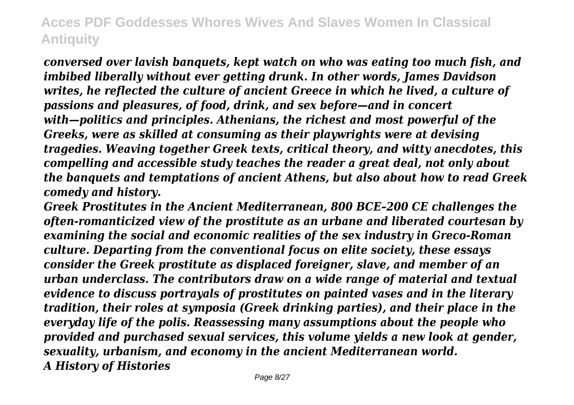*conversed over lavish banquets, kept watch on who was eating too much fish, and imbibed liberally without ever getting drunk. In other words, James Davidson writes, he reflected the culture of ancient Greece in which he lived, a culture of passions and pleasures, of food, drink, and sex before—and in concert with—politics and principles. Athenians, the richest and most powerful of the Greeks, were as skilled at consuming as their playwrights were at devising tragedies. Weaving together Greek texts, critical theory, and witty anecdotes, this compelling and accessible study teaches the reader a great deal, not only about the banquets and temptations of ancient Athens, but also about how to read Greek comedy and history.*

*Greek Prostitutes in the Ancient Mediterranean, 800 BCE–200 CE challenges the often-romanticized view of the prostitute as an urbane and liberated courtesan by examining the social and economic realities of the sex industry in Greco-Roman culture. Departing from the conventional focus on elite society, these essays consider the Greek prostitute as displaced foreigner, slave, and member of an urban underclass. The contributors draw on a wide range of material and textual evidence to discuss portrayals of prostitutes on painted vases and in the literary tradition, their roles at symposia (Greek drinking parties), and their place in the everyday life of the polis. Reassessing many assumptions about the people who provided and purchased sexual services, this volume yields a new look at gender, sexuality, urbanism, and economy in the ancient Mediterranean world. A History of Histories*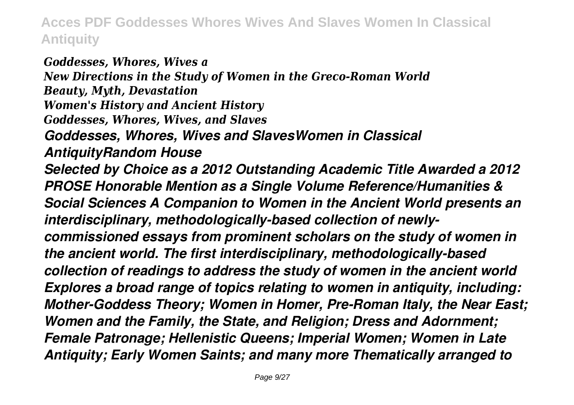*Goddesses, Whores, Wives a New Directions in the Study of Women in the Greco-Roman World Beauty, Myth, Devastation Women's History and Ancient History Goddesses, Whores, Wives, and Slaves Goddesses, Whores, Wives and SlavesWomen in Classical AntiquityRandom House Selected by Choice as a 2012 Outstanding Academic Title Awarded a 2012 PROSE Honorable Mention as a Single Volume Reference/Humanities & Social Sciences A Companion to Women in the Ancient World presents an interdisciplinary, methodologically-based collection of newlycommissioned essays from prominent scholars on the study of women in the ancient world. The first interdisciplinary, methodologically-based collection of readings to address the study of women in the ancient world Explores a broad range of topics relating to women in antiquity, including: Mother-Goddess Theory; Women in Homer, Pre-Roman Italy, the Near East; Women and the Family, the State, and Religion; Dress and Adornment; Female Patronage; Hellenistic Queens; Imperial Women; Women in Late Antiquity; Early Women Saints; and many more Thematically arranged to*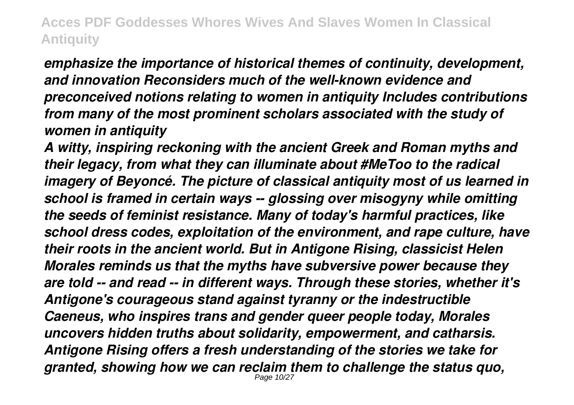*emphasize the importance of historical themes of continuity, development, and innovation Reconsiders much of the well-known evidence and preconceived notions relating to women in antiquity Includes contributions from many of the most prominent scholars associated with the study of women in antiquity*

*A witty, inspiring reckoning with the ancient Greek and Roman myths and their legacy, from what they can illuminate about #MeToo to the radical imagery of Beyoncé. The picture of classical antiquity most of us learned in school is framed in certain ways -- glossing over misogyny while omitting the seeds of feminist resistance. Many of today's harmful practices, like school dress codes, exploitation of the environment, and rape culture, have their roots in the ancient world. But in Antigone Rising, classicist Helen Morales reminds us that the myths have subversive power because they are told -- and read -- in different ways. Through these stories, whether it's Antigone's courageous stand against tyranny or the indestructible Caeneus, who inspires trans and gender queer people today, Morales uncovers hidden truths about solidarity, empowerment, and catharsis. Antigone Rising offers a fresh understanding of the stories we take for granted, showing how we can reclaim them to challenge the status quo,* Page 10/27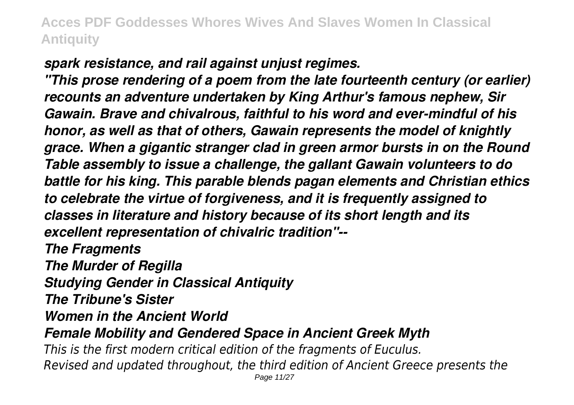*spark resistance, and rail against unjust regimes.*

*"This prose rendering of a poem from the late fourteenth century (or earlier) recounts an adventure undertaken by King Arthur's famous nephew, Sir Gawain. Brave and chivalrous, faithful to his word and ever-mindful of his honor, as well as that of others, Gawain represents the model of knightly grace. When a gigantic stranger clad in green armor bursts in on the Round Table assembly to issue a challenge, the gallant Gawain volunteers to do battle for his king. This parable blends pagan elements and Christian ethics to celebrate the virtue of forgiveness, and it is frequently assigned to classes in literature and history because of its short length and its excellent representation of chivalric tradition"--*

*The Fragments*

*The Murder of Regilla*

*Studying Gender in Classical Antiquity*

*The Tribune's Sister*

*Women in the Ancient World*

*Female Mobility and Gendered Space in Ancient Greek Myth*

*This is the first modern critical edition of the fragments of Euculus. Revised and updated throughout, the third edition of Ancient Greece presents the*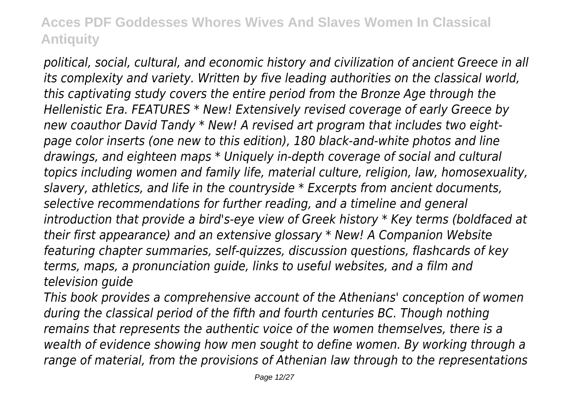*political, social, cultural, and economic history and civilization of ancient Greece in all its complexity and variety. Written by five leading authorities on the classical world, this captivating study covers the entire period from the Bronze Age through the Hellenistic Era. FEATURES \* New! Extensively revised coverage of early Greece by new coauthor David Tandy \* New! A revised art program that includes two eightpage color inserts (one new to this edition), 180 black-and-white photos and line drawings, and eighteen maps \* Uniquely in-depth coverage of social and cultural topics including women and family life, material culture, religion, law, homosexuality, slavery, athletics, and life in the countryside \* Excerpts from ancient documents, selective recommendations for further reading, and a timeline and general introduction that provide a bird's-eye view of Greek history \* Key terms (boldfaced at their first appearance) and an extensive glossary \* New! A Companion Website featuring chapter summaries, self-quizzes, discussion questions, flashcards of key terms, maps, a pronunciation guide, links to useful websites, and a film and television guide*

*This book provides a comprehensive account of the Athenians' conception of women during the classical period of the fifth and fourth centuries BC. Though nothing remains that represents the authentic voice of the women themselves, there is a wealth of evidence showing how men sought to define women. By working through a range of material, from the provisions of Athenian law through to the representations*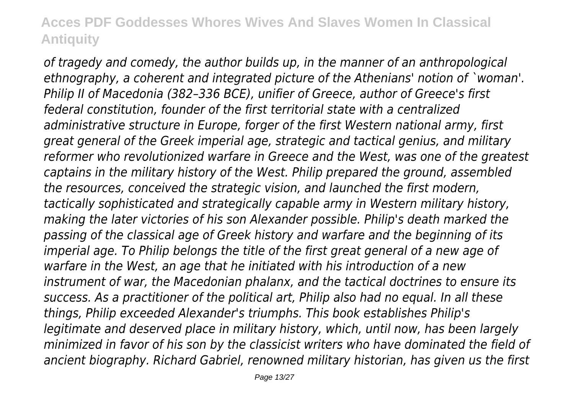*of tragedy and comedy, the author builds up, in the manner of an anthropological ethnography, a coherent and integrated picture of the Athenians' notion of `woman'. Philip II of Macedonia (382–336 BCE), unifier of Greece, author of Greece's first federal constitution, founder of the first territorial state with a centralized administrative structure in Europe, forger of the first Western national army, first great general of the Greek imperial age, strategic and tactical genius, and military reformer who revolutionized warfare in Greece and the West, was one of the greatest captains in the military history of the West. Philip prepared the ground, assembled the resources, conceived the strategic vision, and launched the first modern, tactically sophisticated and strategically capable army in Western military history, making the later victories of his son Alexander possible. Philip's death marked the passing of the classical age of Greek history and warfare and the beginning of its imperial age. To Philip belongs the title of the first great general of a new age of warfare in the West, an age that he initiated with his introduction of a new instrument of war, the Macedonian phalanx, and the tactical doctrines to ensure its success. As a practitioner of the political art, Philip also had no equal. In all these things, Philip exceeded Alexander's triumphs. This book establishes Philip's legitimate and deserved place in military history, which, until now, has been largely minimized in favor of his son by the classicist writers who have dominated the field of ancient biography. Richard Gabriel, renowned military historian, has given us the first*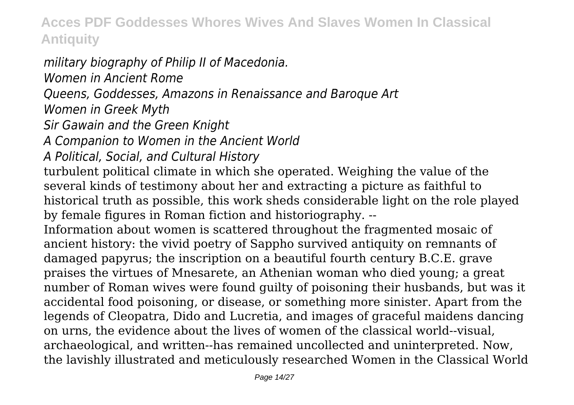# *military biography of Philip II of Macedonia.*

*Women in Ancient Rome*

*Queens, Goddesses, Amazons in Renaissance and Baroque Art*

*Women in Greek Myth*

*Sir Gawain and the Green Knight*

*A Companion to Women in the Ancient World*

*A Political, Social, and Cultural History*

turbulent political climate in which she operated. Weighing the value of the several kinds of testimony about her and extracting a picture as faithful to historical truth as possible, this work sheds considerable light on the role played by female figures in Roman fiction and historiography. --

Information about women is scattered throughout the fragmented mosaic of ancient history: the vivid poetry of Sappho survived antiquity on remnants of damaged papyrus; the inscription on a beautiful fourth century B.C.E. grave praises the virtues of Mnesarete, an Athenian woman who died young; a great number of Roman wives were found guilty of poisoning their husbands, but was it accidental food poisoning, or disease, or something more sinister. Apart from the legends of Cleopatra, Dido and Lucretia, and images of graceful maidens dancing on urns, the evidence about the lives of women of the classical world--visual, archaeological, and written--has remained uncollected and uninterpreted. Now, the lavishly illustrated and meticulously researched Women in the Classical World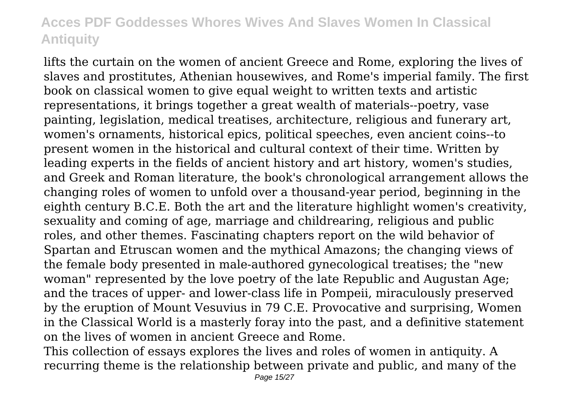lifts the curtain on the women of ancient Greece and Rome, exploring the lives of slaves and prostitutes, Athenian housewives, and Rome's imperial family. The first book on classical women to give equal weight to written texts and artistic representations, it brings together a great wealth of materials--poetry, vase painting, legislation, medical treatises, architecture, religious and funerary art, women's ornaments, historical epics, political speeches, even ancient coins--to present women in the historical and cultural context of their time. Written by leading experts in the fields of ancient history and art history, women's studies, and Greek and Roman literature, the book's chronological arrangement allows the changing roles of women to unfold over a thousand-year period, beginning in the eighth century B.C.E. Both the art and the literature highlight women's creativity, sexuality and coming of age, marriage and childrearing, religious and public roles, and other themes. Fascinating chapters report on the wild behavior of Spartan and Etruscan women and the mythical Amazons; the changing views of the female body presented in male-authored gynecological treatises; the "new woman" represented by the love poetry of the late Republic and Augustan Age; and the traces of upper- and lower-class life in Pompeii, miraculously preserved by the eruption of Mount Vesuvius in 79 C.E. Provocative and surprising, Women in the Classical World is a masterly foray into the past, and a definitive statement on the lives of women in ancient Greece and Rome.

This collection of essays explores the lives and roles of women in antiquity. A recurring theme is the relationship between private and public, and many of the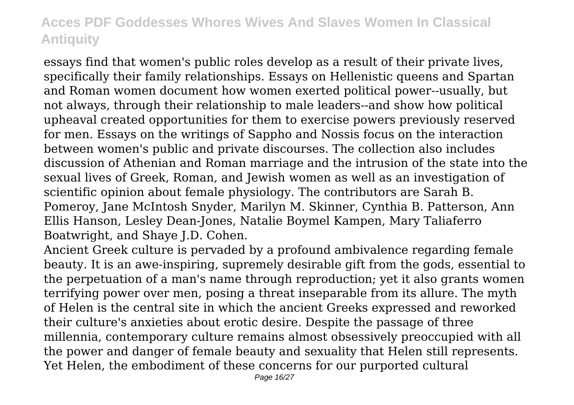essays find that women's public roles develop as a result of their private lives, specifically their family relationships. Essays on Hellenistic queens and Spartan and Roman women document how women exerted political power--usually, but not always, through their relationship to male leaders--and show how political upheaval created opportunities for them to exercise powers previously reserved for men. Essays on the writings of Sappho and Nossis focus on the interaction between women's public and private discourses. The collection also includes discussion of Athenian and Roman marriage and the intrusion of the state into the sexual lives of Greek, Roman, and Jewish women as well as an investigation of scientific opinion about female physiology. The contributors are Sarah B. Pomeroy, Jane McIntosh Snyder, Marilyn M. Skinner, Cynthia B. Patterson, Ann Ellis Hanson, Lesley Dean-Jones, Natalie Boymel Kampen, Mary Taliaferro Boatwright, and Shaye J.D. Cohen.

Ancient Greek culture is pervaded by a profound ambivalence regarding female beauty. It is an awe-inspiring, supremely desirable gift from the gods, essential to the perpetuation of a man's name through reproduction; yet it also grants women terrifying power over men, posing a threat inseparable from its allure. The myth of Helen is the central site in which the ancient Greeks expressed and reworked their culture's anxieties about erotic desire. Despite the passage of three millennia, contemporary culture remains almost obsessively preoccupied with all the power and danger of female beauty and sexuality that Helen still represents. Yet Helen, the embodiment of these concerns for our purported cultural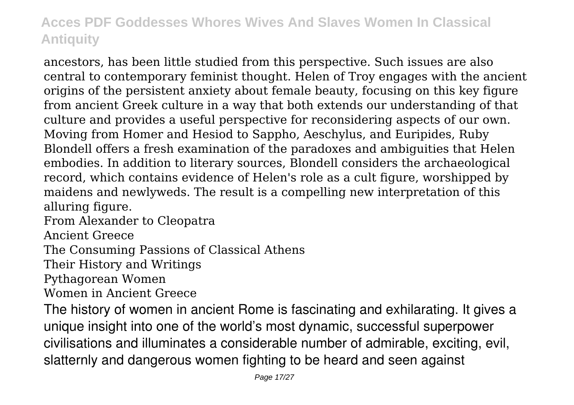ancestors, has been little studied from this perspective. Such issues are also central to contemporary feminist thought. Helen of Troy engages with the ancient origins of the persistent anxiety about female beauty, focusing on this key figure from ancient Greek culture in a way that both extends our understanding of that culture and provides a useful perspective for reconsidering aspects of our own. Moving from Homer and Hesiod to Sappho, Aeschylus, and Euripides, Ruby Blondell offers a fresh examination of the paradoxes and ambiguities that Helen embodies. In addition to literary sources, Blondell considers the archaeological record, which contains evidence of Helen's role as a cult figure, worshipped by maidens and newlyweds. The result is a compelling new interpretation of this alluring figure.

From Alexander to Cleopatra

Ancient Greece

The Consuming Passions of Classical Athens

Their History and Writings

Pythagorean Women

Women in Ancient Greece

The history of women in ancient Rome is fascinating and exhilarating. It gives a unique insight into one of the world's most dynamic, successful superpower civilisations and illuminates a considerable number of admirable, exciting, evil, slatternly and dangerous women fighting to be heard and seen against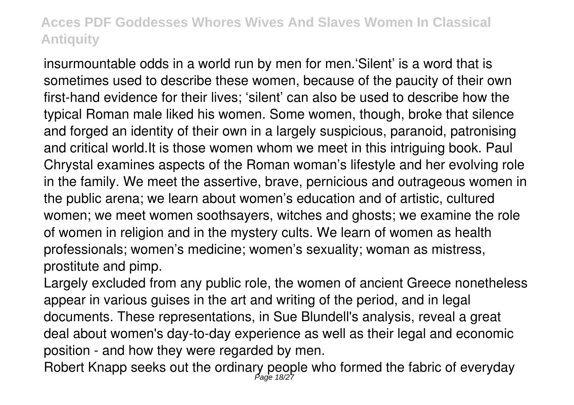insurmountable odds in a world run by men for men.'Silent' is a word that is sometimes used to describe these women, because of the paucity of their own first-hand evidence for their lives; 'silent' can also be used to describe how the typical Roman male liked his women. Some women, though, broke that silence and forged an identity of their own in a largely suspicious, paranoid, patronising and critical world.It is those women whom we meet in this intriguing book. Paul Chrystal examines aspects of the Roman woman's lifestyle and her evolving role in the family. We meet the assertive, brave, pernicious and outrageous women in the public arena; we learn about women's education and of artistic, cultured women; we meet women soothsayers, witches and ghosts; we examine the role of women in religion and in the mystery cults. We learn of women as health professionals; women's medicine; women's sexuality; woman as mistress, prostitute and pimp.

Largely excluded from any public role, the women of ancient Greece nonetheless appear in various guises in the art and writing of the period, and in legal documents. These representations, in Sue Blundell's analysis, reveal a great deal about women's day-to-day experience as well as their legal and economic position - and how they were regarded by men.

Robert Knapp seeks out the ordinary people who formed the fabric of everyday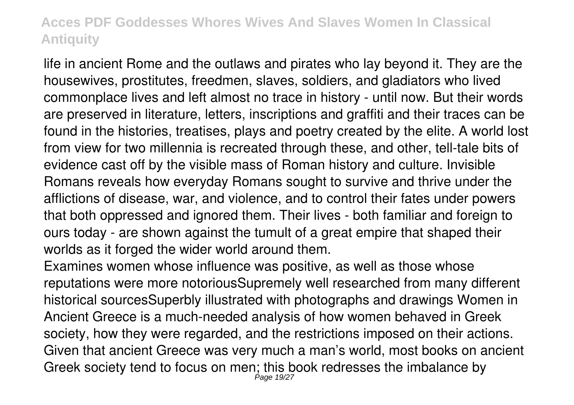life in ancient Rome and the outlaws and pirates who lay beyond it. They are the housewives, prostitutes, freedmen, slaves, soldiers, and gladiators who lived commonplace lives and left almost no trace in history - until now. But their words are preserved in literature, letters, inscriptions and graffiti and their traces can be found in the histories, treatises, plays and poetry created by the elite. A world lost from view for two millennia is recreated through these, and other, tell-tale bits of evidence cast off by the visible mass of Roman history and culture. Invisible Romans reveals how everyday Romans sought to survive and thrive under the afflictions of disease, war, and violence, and to control their fates under powers that both oppressed and ignored them. Their lives - both familiar and foreign to ours today - are shown against the tumult of a great empire that shaped their worlds as it forged the wider world around them.

Examines women whose influence was positive, as well as those whose reputations were more notoriousSupremely well researched from many different historical sourcesSuperbly illustrated with photographs and drawings Women in Ancient Greece is a much-needed analysis of how women behaved in Greek society, how they were regarded, and the restrictions imposed on their actions. Given that ancient Greece was very much a man's world, most books on ancient Greek society tend to focus on men; this book redresses the imbalance by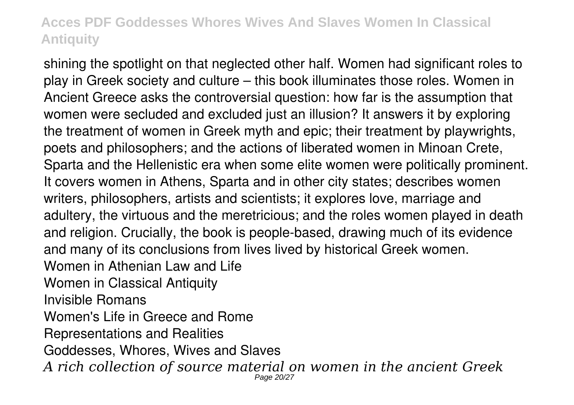shining the spotlight on that neglected other half. Women had significant roles to play in Greek society and culture – this book illuminates those roles. Women in Ancient Greece asks the controversial question: how far is the assumption that women were secluded and excluded just an illusion? It answers it by exploring the treatment of women in Greek myth and epic; their treatment by playwrights, poets and philosophers; and the actions of liberated women in Minoan Crete, Sparta and the Hellenistic era when some elite women were politically prominent. It covers women in Athens, Sparta and in other city states; describes women writers, philosophers, artists and scientists; it explores love, marriage and adultery, the virtuous and the meretricious; and the roles women played in death and religion. Crucially, the book is people-based, drawing much of its evidence and many of its conclusions from lives lived by historical Greek women. Women in Athenian Law and Life Women in Classical Antiquity Invisible Romans Women's Life in Greece and Rome Representations and Realities Goddesses, Whores, Wives and Slaves *A rich collection of source material on women in the ancient Greek* Page 20/27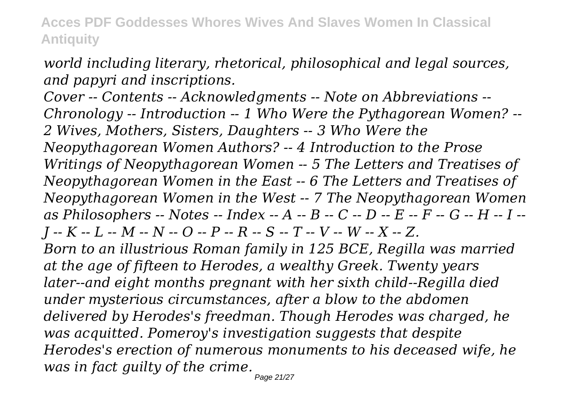*world including literary, rhetorical, philosophical and legal sources, and papyri and inscriptions.*

*Cover -- Contents -- Acknowledgments -- Note on Abbreviations -- Chronology -- Introduction -- 1 Who Were the Pythagorean Women? -- 2 Wives, Mothers, Sisters, Daughters -- 3 Who Were the Neopythagorean Women Authors? -- 4 Introduction to the Prose Writings of Neopythagorean Women -- 5 The Letters and Treatises of Neopythagorean Women in the East -- 6 The Letters and Treatises of Neopythagorean Women in the West -- 7 The Neopythagorean Women as Philosophers -- Notes -- Index -- A -- B -- C -- D -- E -- F -- G -- H -- I -- J -- K -- L -- M -- N -- O -- P -- R -- S -- T -- V -- W -- X -- Z. Born to an illustrious Roman family in 125 BCE, Regilla was married at the age of fifteen to Herodes, a wealthy Greek. Twenty years later--and eight months pregnant with her sixth child--Regilla died under mysterious circumstances, after a blow to the abdomen delivered by Herodes's freedman. Though Herodes was charged, he was acquitted. Pomeroy's investigation suggests that despite Herodes's erection of numerous monuments to his deceased wife, he was in fact guilty of the crime.* Page 21/27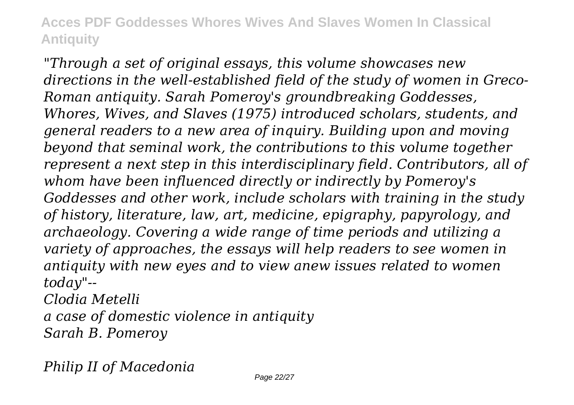*"Through a set of original essays, this volume showcases new directions in the well-established field of the study of women in Greco-Roman antiquity. Sarah Pomeroy's groundbreaking Goddesses, Whores, Wives, and Slaves (1975) introduced scholars, students, and general readers to a new area of inquiry. Building upon and moving beyond that seminal work, the contributions to this volume together represent a next step in this interdisciplinary field. Contributors, all of whom have been influenced directly or indirectly by Pomeroy's Goddesses and other work, include scholars with training in the study of history, literature, law, art, medicine, epigraphy, papyrology, and archaeology. Covering a wide range of time periods and utilizing a variety of approaches, the essays will help readers to see women in antiquity with new eyes and to view anew issues related to women today"--*

*Clodia Metelli a case of domestic violence in antiquity Sarah B. Pomeroy*

*Philip II of Macedonia*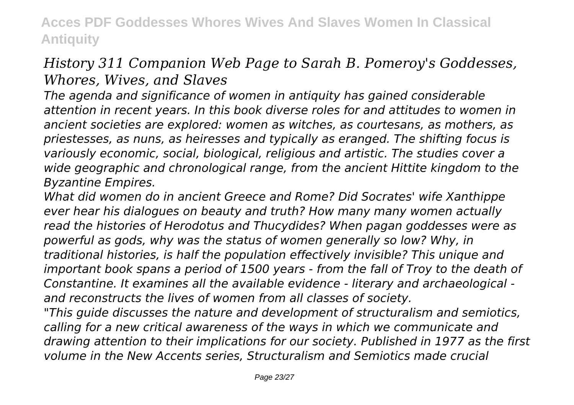## *History 311 Companion Web Page to Sarah B. Pomeroy's Goddesses, Whores, Wives, and Slaves*

*The agenda and significance of women in antiquity has gained considerable attention in recent years. In this book diverse roles for and attitudes to women in ancient societies are explored: women as witches, as courtesans, as mothers, as priestesses, as nuns, as heiresses and typically as eranged. The shifting focus is variously economic, social, biological, religious and artistic. The studies cover a wide geographic and chronological range, from the ancient Hittite kingdom to the Byzantine Empires.*

*What did women do in ancient Greece and Rome? Did Socrates' wife Xanthippe ever hear his dialogues on beauty and truth? How many many women actually read the histories of Herodotus and Thucydides? When pagan goddesses were as powerful as gods, why was the status of women generally so low? Why, in traditional histories, is half the population effectively invisible? This unique and important book spans a period of 1500 years - from the fall of Troy to the death of Constantine. It examines all the available evidence - literary and archaeological and reconstructs the lives of women from all classes of society.*

*"This guide discusses the nature and development of structuralism and semiotics, calling for a new critical awareness of the ways in which we communicate and drawing attention to their implications for our society. Published in 1977 as the first volume in the New Accents series, Structuralism and Semiotics made crucial*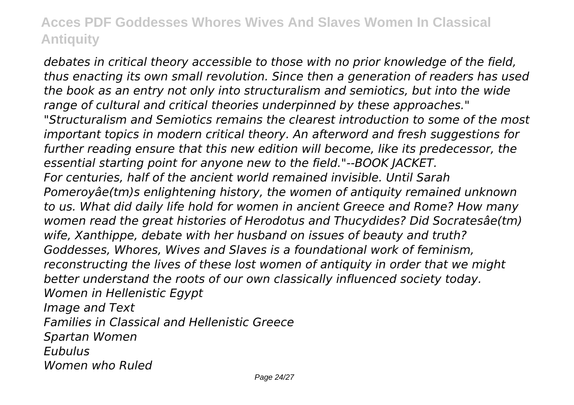*debates in critical theory accessible to those with no prior knowledge of the field, thus enacting its own small revolution. Since then a generation of readers has used the book as an entry not only into structuralism and semiotics, but into the wide range of cultural and critical theories underpinned by these approaches." "Structuralism and Semiotics remains the clearest introduction to some of the most important topics in modern critical theory. An afterword and fresh suggestions for further reading ensure that this new edition will become, like its predecessor, the essential starting point for anyone new to the field."--BOOK JACKET. For centuries, half of the ancient world remained invisible. Until Sarah Pomeroyâe(tm)s enlightening history, the women of antiquity remained unknown to us. What did daily life hold for women in ancient Greece and Rome? How many women read the great histories of Herodotus and Thucydides? Did Socratesâe(tm) wife, Xanthippe, debate with her husband on issues of beauty and truth? Goddesses, Whores, Wives and Slaves is a foundational work of feminism, reconstructing the lives of these lost women of antiquity in order that we might better understand the roots of our own classically influenced society today. Women in Hellenistic Egypt Image and Text Families in Classical and Hellenistic Greece Spartan Women Eubulus Women who Ruled*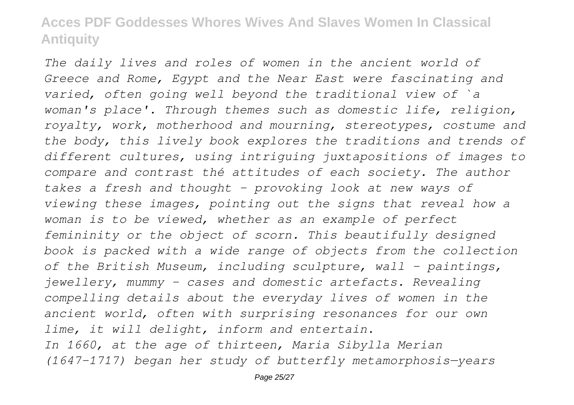*The daily lives and roles of women in the ancient world of Greece and Rome, Egypt and the Near East were fascinating and varied, often going well beyond the traditional view of `a woman's place'. Through themes such as domestic life, religion, royalty, work, motherhood and mourning, stereotypes, costume and the body, this lively book explores the traditions and trends of different cultures, using intriguing juxtapositions of images to compare and contrast thé attitudes of each society. The author takes a fresh and thought - provoking look at new ways of viewing these images, pointing out the signs that reveal how a woman is to be viewed, whether as an example of perfect femininity or the object of scorn. This beautifully designed book is packed with a wide range of objects from the collection of the British Museum, including sculpture, wall - paintings, jewellery, mummy - cases and domestic artefacts. Revealing compelling details about the everyday lives of women in the ancient world, often with surprising resonances for our own lime, it will delight, inform and entertain. In 1660, at the age of thirteen, Maria Sibylla Merian (1647-1717) began her study of butterfly metamorphosis—years*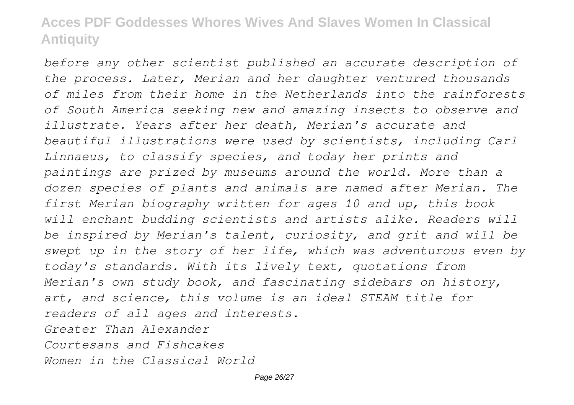*before any other scientist published an accurate description of the process. Later, Merian and her daughter ventured thousands of miles from their home in the Netherlands into the rainforests of South America seeking new and amazing insects to observe and illustrate. Years after her death, Merian's accurate and beautiful illustrations were used by scientists, including Carl Linnaeus, to classify species, and today her prints and paintings are prized by museums around the world. More than a dozen species of plants and animals are named after Merian. The first Merian biography written for ages 10 and up, this book will enchant budding scientists and artists alike. Readers will be inspired by Merian's talent, curiosity, and grit and will be swept up in the story of her life, which was adventurous even by today's standards. With its lively text, quotations from Merian's own study book, and fascinating sidebars on history, art, and science, this volume is an ideal STEAM title for readers of all ages and interests. Greater Than Alexander Courtesans and Fishcakes Women in the Classical World*